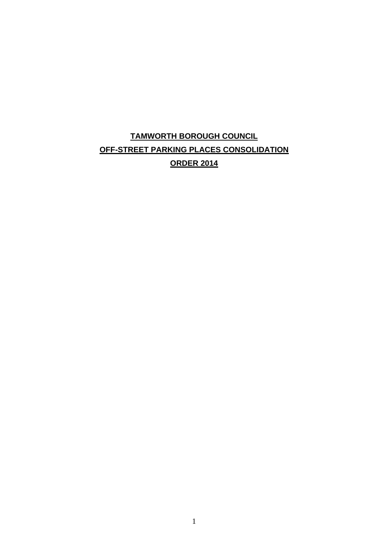# **TAMWORTH BOROUGH COUNCIL OFF-STREET PARKING PLACES CONSOLIDATION ORDER 2014**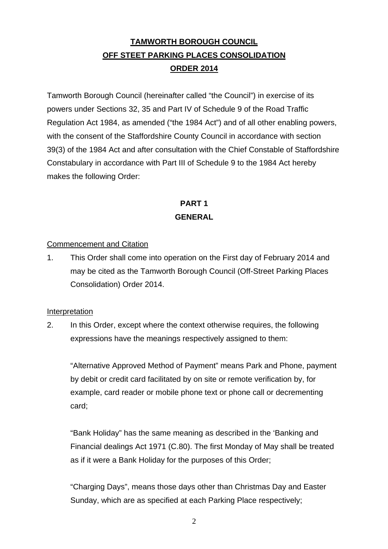# **TAMWORTH BOROUGH COUNCIL OFF STEET PARKING PLACES CONSOLIDATION ORDER 2014**

Tamworth Borough Council (hereinafter called "the Council") in exercise of its powers under Sections 32, 35 and Part IV of Schedule 9 of the Road Traffic Regulation Act 1984, as amended ("the 1984 Act") and of all other enabling powers, with the consent of the Staffordshire County Council in accordance with section 39(3) of the 1984 Act and after consultation with the Chief Constable of Staffordshire Constabulary in accordance with Part III of Schedule 9 to the 1984 Act hereby makes the following Order:

## **PART 1 GENERAL**

## Commencement and Citation

1. This Order shall come into operation on the First day of February 2014 and may be cited as the Tamworth Borough Council (Off-Street Parking Places Consolidation) Order 2014.

#### Interpretation

2. In this Order, except where the context otherwise requires, the following expressions have the meanings respectively assigned to them:

"Alternative Approved Method of Payment" means Park and Phone, payment by debit or credit card facilitated by on site or remote verification by, for example, card reader or mobile phone text or phone call or decrementing card;

"Bank Holiday" has the same meaning as described in the 'Banking and Financial dealings Act 1971 (C.80). The first Monday of May shall be treated as if it were a Bank Holiday for the purposes of this Order;

"Charging Days", means those days other than Christmas Day and Easter Sunday, which are as specified at each Parking Place respectively;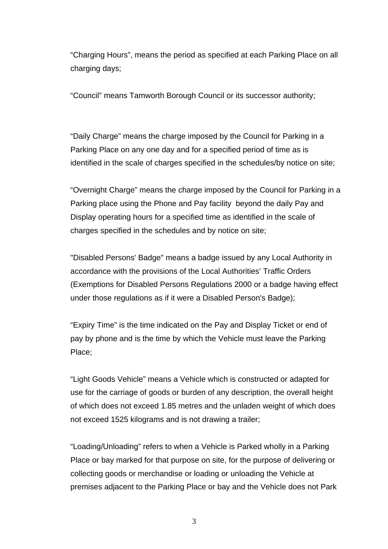"Charging Hours", means the period as specified at each Parking Place on all charging days;

"Council" means Tamworth Borough Council or its successor authority;

"Daily Charge" means the charge imposed by the Council for Parking in a Parking Place on any one day and for a specified period of time as is identified in the scale of charges specified in the schedules/by notice on site;

"Overnight Charge" means the charge imposed by the Council for Parking in a Parking place using the Phone and Pay facility beyond the daily Pay and Display operating hours for a specified time as identified in the scale of charges specified in the schedules and by notice on site;

"Disabled Persons' Badge" means a badge issued by any Local Authority in accordance with the provisions of the Local Authorities' Traffic Orders (Exemptions for Disabled Persons Regulations 2000 or a badge having effect under those regulations as if it were a Disabled Person's Badge);

"Expiry Time" is the time indicated on the Pay and Display Ticket or end of pay by phone and is the time by which the Vehicle must leave the Parking Place;

"Light Goods Vehicle" means a Vehicle which is constructed or adapted for use for the carriage of goods or burden of any description, the overall height of which does not exceed 1.85 metres and the unladen weight of which does not exceed 1525 kilograms and is not drawing a trailer;

"Loading/Unloading" refers to when a Vehicle is Parked wholly in a Parking Place or bay marked for that purpose on site, for the purpose of delivering or collecting goods or merchandise or loading or unloading the Vehicle at premises adjacent to the Parking Place or bay and the Vehicle does not Park

3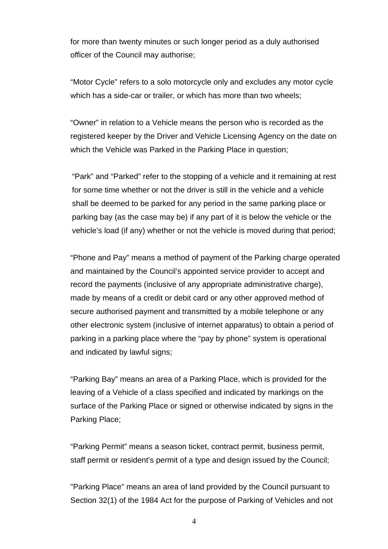for more than twenty minutes or such longer period as a duly authorised officer of the Council may authorise;

"Motor Cycle" refers to a solo motorcycle only and excludes any motor cycle which has a side-car or trailer, or which has more than two wheels;

"Owner" in relation to a Vehicle means the person who is recorded as the registered keeper by the Driver and Vehicle Licensing Agency on the date on which the Vehicle was Parked in the Parking Place in question;

 "Park" and "Parked" refer to the stopping of a vehicle and it remaining at rest for some time whether or not the driver is still in the vehicle and a vehicle shall be deemed to be parked for any period in the same parking place or parking bay (as the case may be) if any part of it is below the vehicle or the vehicle's load (if any) whether or not the vehicle is moved during that period;

"Phone and Pay" means a method of payment of the Parking charge operated and maintained by the Council's appointed service provider to accept and record the payments (inclusive of any appropriate administrative charge), made by means of a credit or debit card or any other approved method of secure authorised payment and transmitted by a mobile telephone or any other electronic system (inclusive of internet apparatus) to obtain a period of parking in a parking place where the "pay by phone" system is operational and indicated by lawful signs;

"Parking Bay" means an area of a Parking Place, which is provided for the leaving of a Vehicle of a class specified and indicated by markings on the surface of the Parking Place or signed or otherwise indicated by signs in the Parking Place;

"Parking Permit" means a season ticket, contract permit, business permit, staff permit or resident's permit of a type and design issued by the Council;

"Parking Place" means an area of land provided by the Council pursuant to Section 32(1) of the 1984 Act for the purpose of Parking of Vehicles and not

4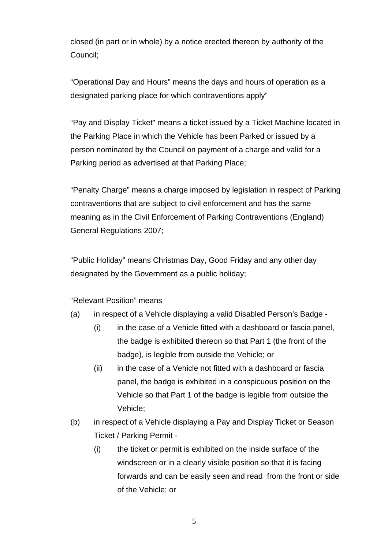closed (in part or in whole) by a notice erected thereon by authority of the Council;

"Operational Day and Hours" means the days and hours of operation as a designated parking place for which contraventions apply"

"Pay and Display Ticket" means a ticket issued by a Ticket Machine located in the Parking Place in which the Vehicle has been Parked or issued by a person nominated by the Council on payment of a charge and valid for a Parking period as advertised at that Parking Place;

"Penalty Charge" means a charge imposed by legislation in respect of Parking contraventions that are subject to civil enforcement and has the same meaning as in the Civil Enforcement of Parking Contraventions (England) General Regulations 2007;

"Public Holiday" means Christmas Day, Good Friday and any other day designated by the Government as a public holiday;

"Relevant Position" means

- (a) in respect of a Vehicle displaying a valid Disabled Person's Badge
	- (i) in the case of a Vehicle fitted with a dashboard or fascia panel, the badge is exhibited thereon so that Part 1 (the front of the badge), is legible from outside the Vehicle; or
	- (ii) in the case of a Vehicle not fitted with a dashboard or fascia panel, the badge is exhibited in a conspicuous position on the Vehicle so that Part 1 of the badge is legible from outside the Vehicle;
- (b) in respect of a Vehicle displaying a Pay and Display Ticket or Season Ticket / Parking Permit -
	- (i) the ticket or permit is exhibited on the inside surface of the windscreen or in a clearly visible position so that it is facing forwards and can be easily seen and read from the front or side of the Vehicle; or

5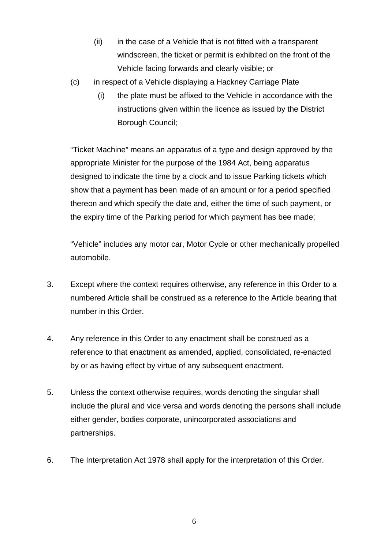- (ii) in the case of a Vehicle that is not fitted with a transparent windscreen, the ticket or permit is exhibited on the front of the Vehicle facing forwards and clearly visible; or
- (c) in respect of a Vehicle displaying a Hackney Carriage Plate
	- (i) the plate must be affixed to the Vehicle in accordance with the instructions given within the licence as issued by the District Borough Council;

"Ticket Machine" means an apparatus of a type and design approved by the appropriate Minister for the purpose of the 1984 Act, being apparatus designed to indicate the time by a clock and to issue Parking tickets which show that a payment has been made of an amount or for a period specified thereon and which specify the date and, either the time of such payment, or the expiry time of the Parking period for which payment has bee made;

"Vehicle" includes any motor car, Motor Cycle or other mechanically propelled automobile.

- 3. Except where the context requires otherwise, any reference in this Order to a numbered Article shall be construed as a reference to the Article bearing that number in this Order.
- 4. Any reference in this Order to any enactment shall be construed as a reference to that enactment as amended, applied, consolidated, re-enacted by or as having effect by virtue of any subsequent enactment.
- 5. Unless the context otherwise requires, words denoting the singular shall include the plural and vice versa and words denoting the persons shall include either gender, bodies corporate, unincorporated associations and partnerships.
- 6. The Interpretation Act 1978 shall apply for the interpretation of this Order.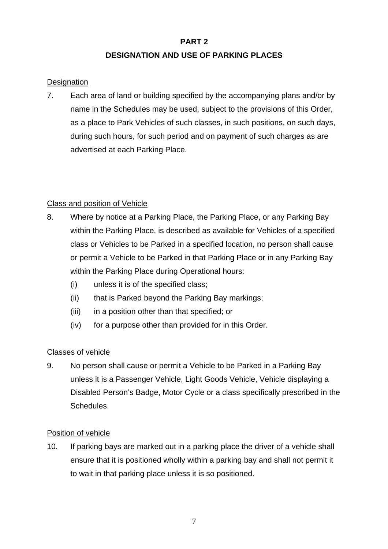### **PART 2**

## **DESIGNATION AND USE OF PARKING PLACES**

## **Designation**

7. Each area of land or building specified by the accompanying plans and/or by name in the Schedules may be used, subject to the provisions of this Order, as a place to Park Vehicles of such classes, in such positions, on such days, during such hours, for such period and on payment of such charges as are advertised at each Parking Place.

## Class and position of Vehicle

- 8. Where by notice at a Parking Place, the Parking Place, or any Parking Bay within the Parking Place, is described as available for Vehicles of a specified class or Vehicles to be Parked in a specified location, no person shall cause or permit a Vehicle to be Parked in that Parking Place or in any Parking Bay within the Parking Place during Operational hours:
	- (i) unless it is of the specified class;
	- (ii) that is Parked beyond the Parking Bay markings;
	- (iii) in a position other than that specified; or
	- (iv) for a purpose other than provided for in this Order.

## Classes of vehicle

9. No person shall cause or permit a Vehicle to be Parked in a Parking Bay unless it is a Passenger Vehicle, Light Goods Vehicle, Vehicle displaying a Disabled Person's Badge, Motor Cycle or a class specifically prescribed in the Schedules.

## Position of vehicle

10. If parking bays are marked out in a parking place the driver of a vehicle shall ensure that it is positioned wholly within a parking bay and shall not permit it to wait in that parking place unless it is so positioned.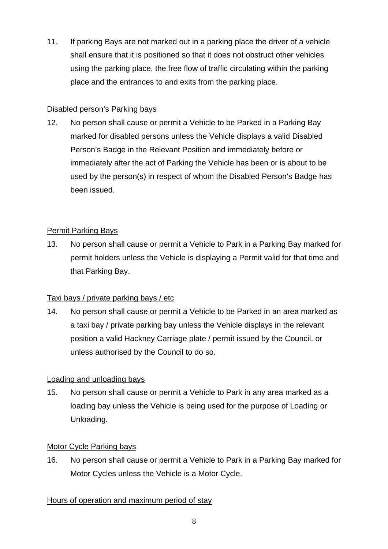11. If parking Bays are not marked out in a parking place the driver of a vehicle shall ensure that it is positioned so that it does not obstruct other vehicles using the parking place, the free flow of traffic circulating within the parking place and the entrances to and exits from the parking place.

## Disabled person's Parking bays

12. No person shall cause or permit a Vehicle to be Parked in a Parking Bay marked for disabled persons unless the Vehicle displays a valid Disabled Person's Badge in the Relevant Position and immediately before or immediately after the act of Parking the Vehicle has been or is about to be used by the person(s) in respect of whom the Disabled Person's Badge has been issued.

## Permit Parking Bays

13. No person shall cause or permit a Vehicle to Park in a Parking Bay marked for permit holders unless the Vehicle is displaying a Permit valid for that time and that Parking Bay.

## Taxi bays / private parking bays / etc

14. No person shall cause or permit a Vehicle to be Parked in an area marked as a taxi bay / private parking bay unless the Vehicle displays in the relevant position a valid Hackney Carriage plate / permit issued by the Council. or unless authorised by the Council to do so.

## Loading and unloading bays

15. No person shall cause or permit a Vehicle to Park in any area marked as a loading bay unless the Vehicle is being used for the purpose of Loading or Unloading.

## Motor Cycle Parking bays

16. No person shall cause or permit a Vehicle to Park in a Parking Bay marked for Motor Cycles unless the Vehicle is a Motor Cycle.

## Hours of operation and maximum period of stay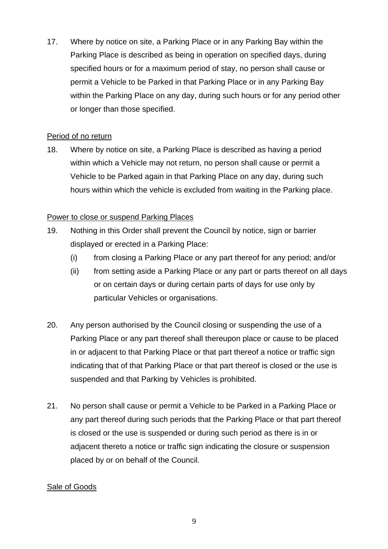17. Where by notice on site, a Parking Place or in any Parking Bay within the Parking Place is described as being in operation on specified days, during specified hours or for a maximum period of stay, no person shall cause or permit a Vehicle to be Parked in that Parking Place or in any Parking Bay within the Parking Place on any day, during such hours or for any period other or longer than those specified.

### Period of no return

18. Where by notice on site, a Parking Place is described as having a period within which a Vehicle may not return, no person shall cause or permit a Vehicle to be Parked again in that Parking Place on any day, during such hours within which the vehicle is excluded from waiting in the Parking place.

## Power to close or suspend Parking Places

- 19. Nothing in this Order shall prevent the Council by notice, sign or barrier displayed or erected in a Parking Place:
	- (i) from closing a Parking Place or any part thereof for any period; and/or
	- (ii) from setting aside a Parking Place or any part or parts thereof on all days or on certain days or during certain parts of days for use only by particular Vehicles or organisations.
- 20. Any person authorised by the Council closing or suspending the use of a Parking Place or any part thereof shall thereupon place or cause to be placed in or adjacent to that Parking Place or that part thereof a notice or traffic sign indicating that of that Parking Place or that part thereof is closed or the use is suspended and that Parking by Vehicles is prohibited.
- 21. No person shall cause or permit a Vehicle to be Parked in a Parking Place or any part thereof during such periods that the Parking Place or that part thereof is closed or the use is suspended or during such period as there is in or adjacent thereto a notice or traffic sign indicating the closure or suspension placed by or on behalf of the Council.

#### Sale of Goods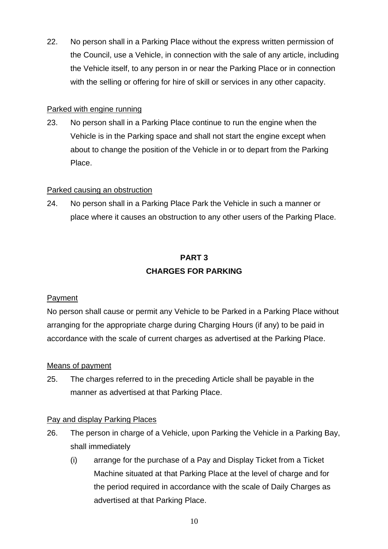22. No person shall in a Parking Place without the express written permission of the Council, use a Vehicle, in connection with the sale of any article, including the Vehicle itself, to any person in or near the Parking Place or in connection with the selling or offering for hire of skill or services in any other capacity.

### Parked with engine running

23. No person shall in a Parking Place continue to run the engine when the Vehicle is in the Parking space and shall not start the engine except when about to change the position of the Vehicle in or to depart from the Parking Place.

## Parked causing an obstruction

24. No person shall in a Parking Place Park the Vehicle in such a manner or place where it causes an obstruction to any other users of the Parking Place.

## **PART 3 CHARGES FOR PARKING**

## Payment

No person shall cause or permit any Vehicle to be Parked in a Parking Place without arranging for the appropriate charge during Charging Hours (if any) to be paid in accordance with the scale of current charges as advertised at the Parking Place.

## Means of payment

25. The charges referred to in the preceding Article shall be payable in the manner as advertised at that Parking Place.

## Pay and display Parking Places

- 26. The person in charge of a Vehicle, upon Parking the Vehicle in a Parking Bay, shall immediately
	- (i) arrange for the purchase of a Pay and Display Ticket from a Ticket Machine situated at that Parking Place at the level of charge and for the period required in accordance with the scale of Daily Charges as advertised at that Parking Place.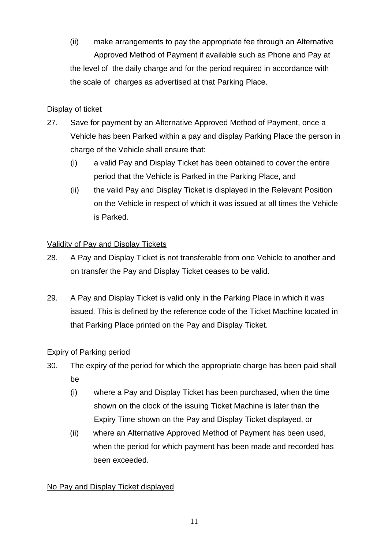(ii) make arrangements to pay the appropriate fee through an Alternative Approved Method of Payment if available such as Phone and Pay at the level of the daily charge and for the period required in accordance with the scale of charges as advertised at that Parking Place.

## Display of ticket

- 27. Save for payment by an Alternative Approved Method of Payment, once a Vehicle has been Parked within a pay and display Parking Place the person in charge of the Vehicle shall ensure that:
	- (i) a valid Pay and Display Ticket has been obtained to cover the entire period that the Vehicle is Parked in the Parking Place, and
	- (ii) the valid Pay and Display Ticket is displayed in the Relevant Position on the Vehicle in respect of which it was issued at all times the Vehicle is Parked.

## Validity of Pay and Display Tickets

- 28. A Pay and Display Ticket is not transferable from one Vehicle to another and on transfer the Pay and Display Ticket ceases to be valid.
- 29. A Pay and Display Ticket is valid only in the Parking Place in which it was issued. This is defined by the reference code of the Ticket Machine located in that Parking Place printed on the Pay and Display Ticket.

## Expiry of Parking period

- 30. The expiry of the period for which the appropriate charge has been paid shall be
	- (i) where a Pay and Display Ticket has been purchased, when the time shown on the clock of the issuing Ticket Machine is later than the Expiry Time shown on the Pay and Display Ticket displayed, or
	- (ii) where an Alternative Approved Method of Payment has been used, when the period for which payment has been made and recorded has been exceeded.

## No Pay and Display Ticket displayed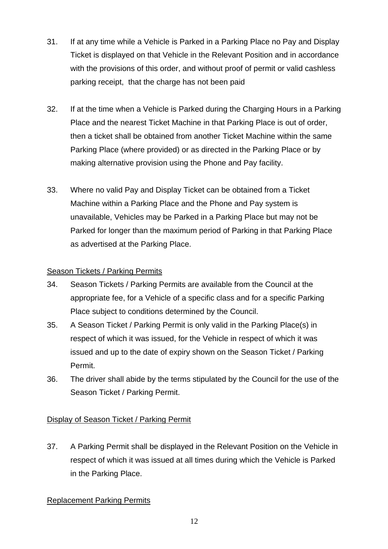- 31. If at any time while a Vehicle is Parked in a Parking Place no Pay and Display Ticket is displayed on that Vehicle in the Relevant Position and in accordance with the provisions of this order, and without proof of permit or valid cashless parking receipt, that the charge has not been paid
- 32. If at the time when a Vehicle is Parked during the Charging Hours in a Parking Place and the nearest Ticket Machine in that Parking Place is out of order, then a ticket shall be obtained from another Ticket Machine within the same Parking Place (where provided) or as directed in the Parking Place or by making alternative provision using the Phone and Pay facility.
- 33. Where no valid Pay and Display Ticket can be obtained from a Ticket Machine within a Parking Place and the Phone and Pay system is unavailable, Vehicles may be Parked in a Parking Place but may not be Parked for longer than the maximum period of Parking in that Parking Place as advertised at the Parking Place.

## Season Tickets / Parking Permits

- 34. Season Tickets / Parking Permits are available from the Council at the appropriate fee, for a Vehicle of a specific class and for a specific Parking Place subject to conditions determined by the Council.
- 35. A Season Ticket / Parking Permit is only valid in the Parking Place(s) in respect of which it was issued, for the Vehicle in respect of which it was issued and up to the date of expiry shown on the Season Ticket / Parking Permit.
- 36. The driver shall abide by the terms stipulated by the Council for the use of the Season Ticket / Parking Permit.

## Display of Season Ticket / Parking Permit

37. A Parking Permit shall be displayed in the Relevant Position on the Vehicle in respect of which it was issued at all times during which the Vehicle is Parked in the Parking Place.

## Replacement Parking Permits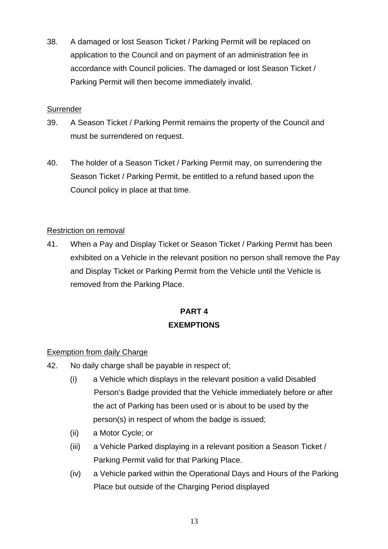38. A damaged or lost Season Ticket / Parking Permit will be replaced on application to the Council and on payment of an administration fee in accordance with Council policies. The damaged or lost Season Ticket / Parking Permit will then become immediately invalid.

## **Surrender**

- 39. A Season Ticket / Parking Permit remains the property of the Council and must be surrendered on request.
- 40. The holder of a Season Ticket / Parking Permit may, on surrendering the Season Ticket / Parking Permit, be entitled to a refund based upon the Council policy in place at that time.

## Restriction on removal

41. When a Pay and Display Ticket or Season Ticket / Parking Permit has been exhibited on a Vehicle in the relevant position no person shall remove the Pay and Display Ticket or Parking Permit from the Vehicle until the Vehicle is removed from the Parking Place.

# **PART 4 EXEMPTIONS**

## Exemption from daily Charge

- 42. No daily charge shall be payable in respect of;
	- (i) a Vehicle which displays in the relevant position a valid Disabled Person's Badge provided that the Vehicle immediately before or after the act of Parking has been used or is about to be used by the person(s) in respect of whom the badge is issued;
	- (ii) a Motor Cycle; or
	- (iii) a Vehicle Parked displaying in a relevant position a Season Ticket / Parking Permit valid for that Parking Place.
	- (iv) a Vehicle parked within the Operational Days and Hours of the Parking Place but outside of the Charging Period displayed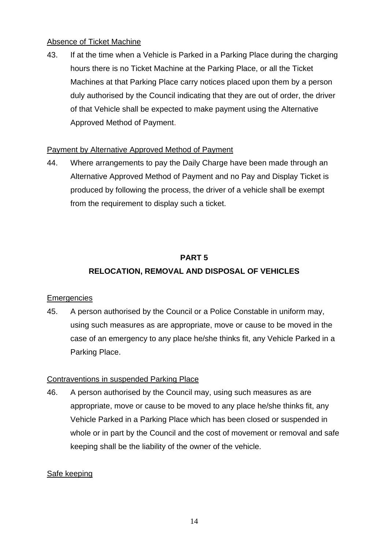### Absence of Ticket Machine

43. If at the time when a Vehicle is Parked in a Parking Place during the charging hours there is no Ticket Machine at the Parking Place, or all the Ticket Machines at that Parking Place carry notices placed upon them by a person duly authorised by the Council indicating that they are out of order, the driver of that Vehicle shall be expected to make payment using the Alternative Approved Method of Payment.

### Payment by Alternative Approved Method of Payment

44. Where arrangements to pay the Daily Charge have been made through an Alternative Approved Method of Payment and no Pay and Display Ticket is produced by following the process, the driver of a vehicle shall be exempt from the requirement to display such a ticket.

## **PART 5**

## **RELOCATION, REMOVAL AND DISPOSAL OF VEHICLES**

## **Emergencies**

45. A person authorised by the Council or a Police Constable in uniform may, using such measures as are appropriate, move or cause to be moved in the case of an emergency to any place he/she thinks fit, any Vehicle Parked in a Parking Place.

## Contraventions in suspended Parking Place

46. A person authorised by the Council may, using such measures as are appropriate, move or cause to be moved to any place he/she thinks fit, any Vehicle Parked in a Parking Place which has been closed or suspended in whole or in part by the Council and the cost of movement or removal and safe keeping shall be the liability of the owner of the vehicle.

## Safe keeping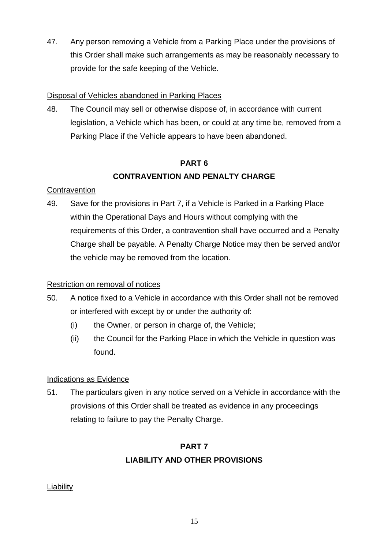47. Any person removing a Vehicle from a Parking Place under the provisions of this Order shall make such arrangements as may be reasonably necessary to provide for the safe keeping of the Vehicle.

## Disposal of Vehicles abandoned in Parking Places

48. The Council may sell or otherwise dispose of, in accordance with current legislation, a Vehicle which has been, or could at any time be, removed from a Parking Place if the Vehicle appears to have been abandoned.

## **PART 6 CONTRAVENTION AND PENALTY CHARGE**

## **Contravention**

49. Save for the provisions in Part 7, if a Vehicle is Parked in a Parking Place within the Operational Days and Hours without complying with the requirements of this Order, a contravention shall have occurred and a Penalty Charge shall be payable. A Penalty Charge Notice may then be served and/or the vehicle may be removed from the location.

## Restriction on removal of notices

- 50. A notice fixed to a Vehicle in accordance with this Order shall not be removed or interfered with except by or under the authority of:
	- (i) the Owner, or person in charge of, the Vehicle;
	- (ii) the Council for the Parking Place in which the Vehicle in question was found.

## Indications as Evidence

51. The particulars given in any notice served on a Vehicle in accordance with the provisions of this Order shall be treated as evidence in any proceedings relating to failure to pay the Penalty Charge.

## **PART 7 LIABILITY AND OTHER PROVISIONS**

## **Liability**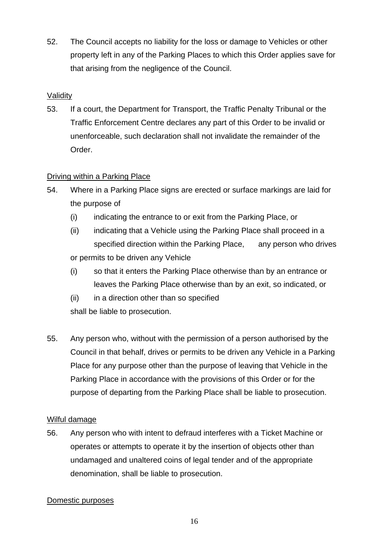52. The Council accepts no liability for the loss or damage to Vehicles or other property left in any of the Parking Places to which this Order applies save for that arising from the negligence of the Council.

## Validity

53. If a court, the Department for Transport, the Traffic Penalty Tribunal or the Traffic Enforcement Centre declares any part of this Order to be invalid or unenforceable, such declaration shall not invalidate the remainder of the Order.

## Driving within a Parking Place

- 54. Where in a Parking Place signs are erected or surface markings are laid for the purpose of
	- (i) indicating the entrance to or exit from the Parking Place, or
	- (ii) indicating that a Vehicle using the Parking Place shall proceed in a specified direction within the Parking Place, any person who drives or permits to be driven any Vehicle
	- (i) so that it enters the Parking Place otherwise than by an entrance or leaves the Parking Place otherwise than by an exit, so indicated, or
	- (ii) in a direction other than so specified shall be liable to prosecution.
- 55. Any person who, without with the permission of a person authorised by the Council in that behalf, drives or permits to be driven any Vehicle in a Parking Place for any purpose other than the purpose of leaving that Vehicle in the Parking Place in accordance with the provisions of this Order or for the purpose of departing from the Parking Place shall be liable to prosecution.

## Wilful damage

56. Any person who with intent to defraud interferes with a Ticket Machine or operates or attempts to operate it by the insertion of objects other than undamaged and unaltered coins of legal tender and of the appropriate denomination, shall be liable to prosecution.

## Domestic purposes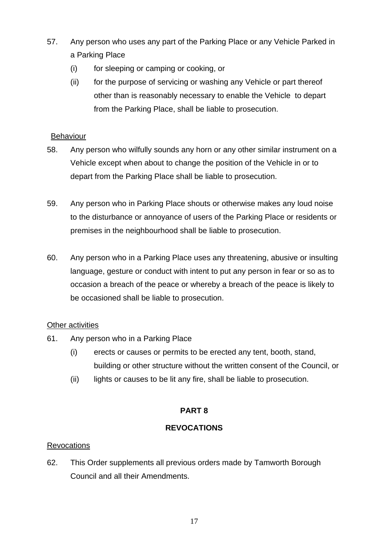- 57. Any person who uses any part of the Parking Place or any Vehicle Parked in a Parking Place
	- (i) for sleeping or camping or cooking, or
	- (ii) for the purpose of servicing or washing any Vehicle or part thereof other than is reasonably necessary to enable the Vehicle to depart from the Parking Place, shall be liable to prosecution.

### **Behaviour**

- 58. Any person who wilfully sounds any horn or any other similar instrument on a Vehicle except when about to change the position of the Vehicle in or to depart from the Parking Place shall be liable to prosecution.
- 59. Any person who in Parking Place shouts or otherwise makes any loud noise to the disturbance or annoyance of users of the Parking Place or residents or premises in the neighbourhood shall be liable to prosecution.
- 60. Any person who in a Parking Place uses any threatening, abusive or insulting language, gesture or conduct with intent to put any person in fear or so as to occasion a breach of the peace or whereby a breach of the peace is likely to be occasioned shall be liable to prosecution.

## Other activities

- 61. Any person who in a Parking Place
	- (i) erects or causes or permits to be erected any tent, booth, stand, building or other structure without the written consent of the Council, or
	- (ii) lights or causes to be lit any fire, shall be liable to prosecution.

## **PART 8**

## **REVOCATIONS**

## Revocations

62. This Order supplements all previous orders made by Tamworth Borough Council and all their Amendments.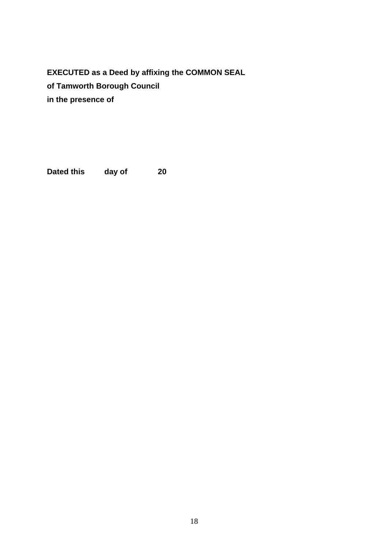**EXECUTED as a Deed by affixing the COMMON SEAL of Tamworth Borough Council in the presence of** 

**Dated this day of 20**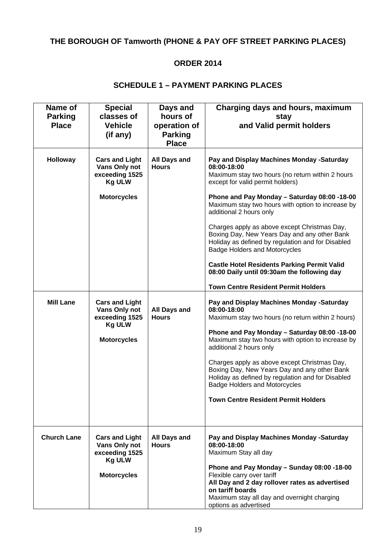# **THE BOROUGH OF Tamworth (PHONE & PAY OFF STREET PARKING PLACES)**

## **ORDER 2014**

### **SCHEDULE 1 – PAYMENT PARKING PLACES**

| Name of<br><b>Parking</b><br><b>Place</b> | <b>Special</b><br>classes of<br><b>Vehicle</b><br>(if any)                                                               | Days and<br>hours of<br>operation of<br><b>Parking</b><br><b>Place</b> | Charging days and hours, maximum<br>stay<br>and Valid permit holders                                                                                                                                                                                                                                                                                                                                                                                                                                                                                                                                                                                                                         |
|-------------------------------------------|--------------------------------------------------------------------------------------------------------------------------|------------------------------------------------------------------------|----------------------------------------------------------------------------------------------------------------------------------------------------------------------------------------------------------------------------------------------------------------------------------------------------------------------------------------------------------------------------------------------------------------------------------------------------------------------------------------------------------------------------------------------------------------------------------------------------------------------------------------------------------------------------------------------|
| Holloway<br><b>Mill Lane</b>              | <b>Cars and Light</b><br>Vans Only not<br>exceeding 1525<br><b>Kg ULW</b><br><b>Motorcycles</b><br><b>Cars and Light</b> | <b>All Days and</b><br><b>Hours</b>                                    | Pay and Display Machines Monday -Saturday<br>08:00-18:00<br>Maximum stay two hours (no return within 2 hours<br>except for valid permit holders)<br>Phone and Pay Monday - Saturday 08:00 -18-00<br>Maximum stay two hours with option to increase by<br>additional 2 hours only<br>Charges apply as above except Christmas Day,<br>Boxing Day, New Years Day and any other Bank<br>Holiday as defined by regulation and for Disabled<br><b>Badge Holders and Motorcycles</b><br><b>Castle Hotel Residents Parking Permit Valid</b><br>08:00 Daily until 09:30am the following day<br><b>Town Centre Resident Permit Holders</b><br>Pay and Display Machines Monday -Saturday<br>08:00-18:00 |
|                                           | Vans Only not<br>exceeding 1525<br><b>Kg ULW</b><br><b>Motorcycles</b>                                                   | <b>All Days and</b><br><b>Hours</b>                                    | Maximum stay two hours (no return within 2 hours)<br>Phone and Pay Monday - Saturday 08:00 -18-00<br>Maximum stay two hours with option to increase by<br>additional 2 hours only<br>Charges apply as above except Christmas Day,<br>Boxing Day, New Years Day and any other Bank<br>Holiday as defined by regulation and for Disabled<br><b>Badge Holders and Motorcycles</b><br><b>Town Centre Resident Permit Holders</b>                                                                                                                                                                                                                                                                 |
| <b>Church Lane</b>                        | <b>Cars and Light</b><br>Vans Only not<br>exceeding 1525<br><b>Kg ULW</b><br><b>Motorcycles</b>                          | <b>All Days and</b><br><b>Hours</b>                                    | Pay and Display Machines Monday -Saturday<br>08:00-18:00<br>Maximum Stay all day<br>Phone and Pay Monday - Sunday 08:00 -18-00<br>Flexible carry over tariff<br>All Day and 2 day rollover rates as advertised<br>on tariff boards<br>Maximum stay all day and overnight charging<br>options as advertised                                                                                                                                                                                                                                                                                                                                                                                   |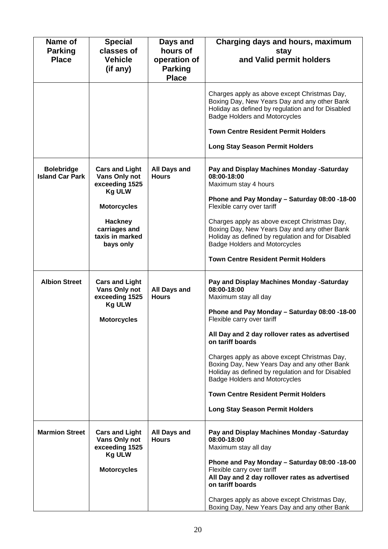| Name of<br><b>Parking</b><br><b>Place</b>   | <b>Special</b><br>classes of<br><b>Vehicle</b><br>(if any)                                                                                                         | Days and<br>hours of<br>operation of<br><b>Parking</b> | Charging days and hours, maximum<br>stay<br>and Valid permit holders                                                                                                                                                                                                                                                                                                                                                                                                                                                      |
|---------------------------------------------|--------------------------------------------------------------------------------------------------------------------------------------------------------------------|--------------------------------------------------------|---------------------------------------------------------------------------------------------------------------------------------------------------------------------------------------------------------------------------------------------------------------------------------------------------------------------------------------------------------------------------------------------------------------------------------------------------------------------------------------------------------------------------|
|                                             |                                                                                                                                                                    | <b>Place</b>                                           | Charges apply as above except Christmas Day,<br>Boxing Day, New Years Day and any other Bank<br>Holiday as defined by regulation and for Disabled<br><b>Badge Holders and Motorcycles</b><br><b>Town Centre Resident Permit Holders</b><br><b>Long Stay Season Permit Holders</b>                                                                                                                                                                                                                                         |
| <b>Bolebridge</b><br><b>Island Car Park</b> | <b>Cars and Light</b><br>Vans Only not<br>exceeding 1525<br><b>Kg ULW</b><br><b>Motorcycles</b><br><b>Hackney</b><br>carriages and<br>taxis in marked<br>bays only | <b>All Days and</b><br><b>Hours</b>                    | Pay and Display Machines Monday -Saturday<br>08:00-18:00<br>Maximum stay 4 hours<br>Phone and Pay Monday - Saturday 08:00 -18-00<br>Flexible carry over tariff<br>Charges apply as above except Christmas Day,<br>Boxing Day, New Years Day and any other Bank<br>Holiday as defined by regulation and for Disabled<br><b>Badge Holders and Motorcycles</b><br><b>Town Centre Resident Permit Holders</b>                                                                                                                 |
| <b>Albion Street</b>                        | <b>Cars and Light</b><br>Vans Only not<br>exceeding 1525<br><b>Kg ULW</b><br><b>Motorcycles</b>                                                                    | <b>All Days and</b><br><b>Hours</b>                    | Pay and Display Machines Monday -Saturday<br>08:00-18:00<br>Maximum stay all day<br>Phone and Pay Monday - Saturday 08:00 -18-00<br>Flexible carry over tariff<br>All Day and 2 day rollover rates as advertised<br>on tariff boards<br>Charges apply as above except Christmas Day,<br>Boxing Day, New Years Day and any other Bank<br>Holiday as defined by regulation and for Disabled<br><b>Badge Holders and Motorcycles</b><br><b>Town Centre Resident Permit Holders</b><br><b>Long Stay Season Permit Holders</b> |
| <b>Marmion Street</b>                       | <b>Cars and Light</b><br>Vans Only not<br>exceeding 1525<br><b>Kg ULW</b><br><b>Motorcycles</b>                                                                    | All Days and<br><b>Hours</b>                           | Pay and Display Machines Monday -Saturday<br>08:00-18:00<br>Maximum stay all day<br>Phone and Pay Monday - Saturday 08:00 -18-00<br>Flexible carry over tariff<br>All Day and 2 day rollover rates as advertised<br>on tariff boards<br>Charges apply as above except Christmas Day,<br>Boxing Day, New Years Day and any other Bank                                                                                                                                                                                      |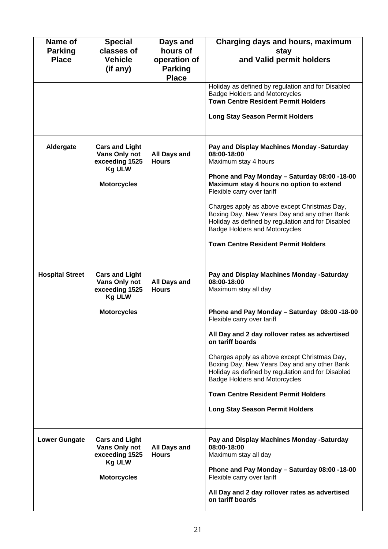| Name of                | <b>Special</b>        | Days and            | Charging days and hours, maximum                                                             |
|------------------------|-----------------------|---------------------|----------------------------------------------------------------------------------------------|
| <b>Parking</b>         | classes of            | hours of            | stay                                                                                         |
| <b>Place</b>           | <b>Vehicle</b>        | operation of        | and Valid permit holders                                                                     |
|                        | (if any)              | <b>Parking</b>      |                                                                                              |
|                        |                       | <b>Place</b>        |                                                                                              |
|                        |                       |                     | Holiday as defined by regulation and for Disabled                                            |
|                        |                       |                     | <b>Badge Holders and Motorcycles</b>                                                         |
|                        |                       |                     | <b>Town Centre Resident Permit Holders</b>                                                   |
|                        |                       |                     |                                                                                              |
|                        |                       |                     | <b>Long Stay Season Permit Holders</b>                                                       |
|                        |                       |                     |                                                                                              |
|                        |                       |                     |                                                                                              |
|                        |                       |                     |                                                                                              |
| Aldergate              | <b>Cars and Light</b> |                     | Pay and Display Machines Monday -Saturday                                                    |
|                        | Vans Only not         | <b>All Days and</b> | 08:00-18:00                                                                                  |
|                        | exceeding 1525        | <b>Hours</b>        | Maximum stay 4 hours                                                                         |
|                        | <b>Kg ULW</b>         |                     |                                                                                              |
|                        |                       |                     | Phone and Pay Monday - Saturday 08:00 -18-00                                                 |
|                        | <b>Motorcycles</b>    |                     | Maximum stay 4 hours no option to extend                                                     |
|                        |                       |                     | Flexible carry over tariff                                                                   |
|                        |                       |                     |                                                                                              |
|                        |                       |                     | Charges apply as above except Christmas Day,<br>Boxing Day, New Years Day and any other Bank |
|                        |                       |                     | Holiday as defined by regulation and for Disabled                                            |
|                        |                       |                     | <b>Badge Holders and Motorcycles</b>                                                         |
|                        |                       |                     |                                                                                              |
|                        |                       |                     | <b>Town Centre Resident Permit Holders</b>                                                   |
|                        |                       |                     |                                                                                              |
|                        |                       |                     |                                                                                              |
|                        |                       |                     |                                                                                              |
| <b>Hospital Street</b> | <b>Cars and Light</b> |                     | Pay and Display Machines Monday -Saturday                                                    |
|                        | Vans Only not         | <b>All Days and</b> | 08:00-18:00                                                                                  |
|                        | exceeding 1525        | <b>Hours</b>        | Maximum stay all day                                                                         |
|                        | <b>Kg ULW</b>         |                     |                                                                                              |
|                        |                       |                     |                                                                                              |
|                        | <b>Motorcycles</b>    |                     | Phone and Pay Monday - Saturday 08:00 -18-00<br>Flexible carry over tariff                   |
|                        |                       |                     |                                                                                              |
|                        |                       |                     | All Day and 2 day rollover rates as advertised                                               |
|                        |                       |                     | on tariff boards                                                                             |
|                        |                       |                     |                                                                                              |
|                        |                       |                     | Charges apply as above except Christmas Day,                                                 |
|                        |                       |                     | Boxing Day, New Years Day and any other Bank                                                 |
|                        |                       |                     | Holiday as defined by regulation and for Disabled                                            |
|                        |                       |                     | <b>Badge Holders and Motorcycles</b>                                                         |
|                        |                       |                     |                                                                                              |
|                        |                       |                     | <b>Town Centre Resident Permit Holders</b>                                                   |
|                        |                       |                     | <b>Long Stay Season Permit Holders</b>                                                       |
|                        |                       |                     |                                                                                              |
|                        |                       |                     |                                                                                              |
|                        |                       |                     |                                                                                              |
| <b>Lower Gungate</b>   | <b>Cars and Light</b> |                     | Pay and Display Machines Monday -Saturday                                                    |
|                        | Vans Only not         | All Days and        | 08:00-18:00                                                                                  |
|                        | exceeding 1525        | <b>Hours</b>        | Maximum stay all day                                                                         |
|                        | <b>Kg ULW</b>         |                     |                                                                                              |
|                        |                       |                     | Phone and Pay Monday - Saturday 08:00 -18-00                                                 |
|                        | <b>Motorcycles</b>    |                     | Flexible carry over tariff                                                                   |
|                        |                       |                     | All Day and 2 day rollover rates as advertised                                               |
|                        |                       |                     | on tariff boards                                                                             |
|                        |                       |                     |                                                                                              |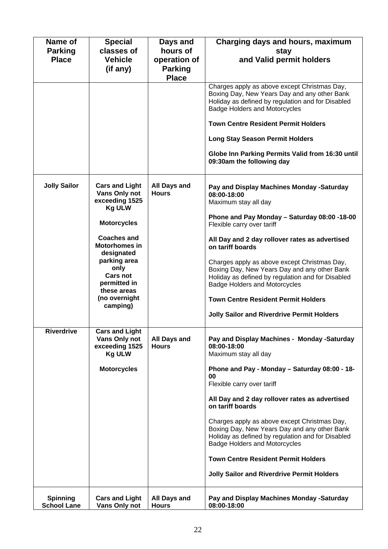| Name of<br><b>Parking</b><br><b>Place</b> | <b>Special</b><br>classes of<br><b>Vehicle</b><br>(if any)                                                                                                                                                                                                         | Days and<br>hours of<br>operation of<br><b>Parking</b><br><b>Place</b> | Charging days and hours, maximum<br>stay<br>and Valid permit holders                                                                                                                                                                                                                                                                                                                                                                                                                                                                          |
|-------------------------------------------|--------------------------------------------------------------------------------------------------------------------------------------------------------------------------------------------------------------------------------------------------------------------|------------------------------------------------------------------------|-----------------------------------------------------------------------------------------------------------------------------------------------------------------------------------------------------------------------------------------------------------------------------------------------------------------------------------------------------------------------------------------------------------------------------------------------------------------------------------------------------------------------------------------------|
|                                           |                                                                                                                                                                                                                                                                    |                                                                        | Charges apply as above except Christmas Day,<br>Boxing Day, New Years Day and any other Bank<br>Holiday as defined by regulation and for Disabled<br><b>Badge Holders and Motorcycles</b><br><b>Town Centre Resident Permit Holders</b><br><b>Long Stay Season Permit Holders</b><br>Globe Inn Parking Permits Valid from 16:30 until<br>09:30am the following day                                                                                                                                                                            |
| <b>Jolly Sailor</b>                       | <b>Cars and Light</b><br>Vans Only not<br>exceeding 1525<br><b>Kg ULW</b><br><b>Motorcycles</b><br><b>Coaches and</b><br><b>Motorhomes in</b><br>designated<br>parking area<br>only<br><b>Cars not</b><br>permitted in<br>these areas<br>(no overnight<br>camping) | <b>All Days and</b><br><b>Hours</b>                                    | Pay and Display Machines Monday -Saturday<br>08:00-18:00<br>Maximum stay all day<br>Phone and Pay Monday - Saturday 08:00 -18-00<br>Flexible carry over tariff<br>All Day and 2 day rollover rates as advertised<br>on tariff boards<br>Charges apply as above except Christmas Day,<br>Boxing Day, New Years Day and any other Bank<br>Holiday as defined by regulation and for Disabled<br><b>Badge Holders and Motorcycles</b><br><b>Town Centre Resident Permit Holders</b><br><b>Jolly Sailor and Riverdrive Permit Holders</b>          |
| <b>Riverdrive</b>                         | <b>Cars and Light</b><br>Vans Only not<br>exceeding 1525<br><b>Kg ULW</b><br><b>Motorcycles</b>                                                                                                                                                                    | <b>All Days and</b><br><b>Hours</b>                                    | Pay and Display Machines - Monday -Saturday<br>08:00-18:00<br>Maximum stay all day<br>Phone and Pay - Monday - Saturday 08:00 - 18-<br>00<br>Flexible carry over tariff<br>All Day and 2 day rollover rates as advertised<br>on tariff boards<br>Charges apply as above except Christmas Day,<br>Boxing Day, New Years Day and any other Bank<br>Holiday as defined by regulation and for Disabled<br><b>Badge Holders and Motorcycles</b><br><b>Town Centre Resident Permit Holders</b><br><b>Jolly Sailor and Riverdrive Permit Holders</b> |
| <b>Spinning</b><br><b>School Lane</b>     | <b>Cars and Light</b><br>Vans Only not                                                                                                                                                                                                                             | All Days and<br><b>Hours</b>                                           | Pay and Display Machines Monday -Saturday<br>08:00-18:00                                                                                                                                                                                                                                                                                                                                                                                                                                                                                      |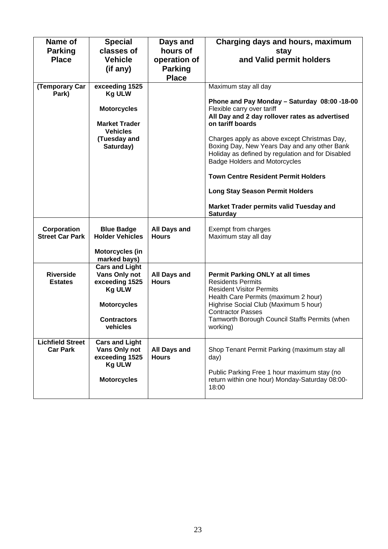| Name of<br><b>Parking</b><br><b>Place</b><br>(Temporary Car<br>Park) | <b>Special</b><br>classes of<br><b>Vehicle</b><br>(if any)<br>exceeding 1525<br><b>Kg ULW</b><br><b>Motorcycles</b><br><b>Market Trader</b><br><b>Vehicles</b><br>(Tuesday and<br>Saturday) | Days and<br>hours of<br>operation of<br><b>Parking</b><br><b>Place</b> | Charging days and hours, maximum<br>stay<br>and Valid permit holders<br>Maximum stay all day<br>Phone and Pay Monday - Saturday 08:00 -18-00<br>Flexible carry over tariff<br>All Day and 2 day rollover rates as advertised<br>on tariff boards<br>Charges apply as above except Christmas Day,<br>Boxing Day, New Years Day and any other Bank<br>Holiday as defined by regulation and for Disabled<br><b>Badge Holders and Motorcycles</b><br><b>Town Centre Resident Permit Holders</b><br><b>Long Stay Season Permit Holders</b><br>Market Trader permits valid Tuesday and |
|----------------------------------------------------------------------|---------------------------------------------------------------------------------------------------------------------------------------------------------------------------------------------|------------------------------------------------------------------------|----------------------------------------------------------------------------------------------------------------------------------------------------------------------------------------------------------------------------------------------------------------------------------------------------------------------------------------------------------------------------------------------------------------------------------------------------------------------------------------------------------------------------------------------------------------------------------|
|                                                                      |                                                                                                                                                                                             |                                                                        | <b>Saturday</b>                                                                                                                                                                                                                                                                                                                                                                                                                                                                                                                                                                  |
| Corporation<br><b>Street Car Park</b>                                | <b>Blue Badge</b><br><b>Holder Vehicles</b>                                                                                                                                                 | <b>All Days and</b><br><b>Hours</b>                                    | Exempt from charges<br>Maximum stay all day                                                                                                                                                                                                                                                                                                                                                                                                                                                                                                                                      |
|                                                                      | <b>Motorcycles (in</b><br>marked bays)                                                                                                                                                      |                                                                        |                                                                                                                                                                                                                                                                                                                                                                                                                                                                                                                                                                                  |
| <b>Riverside</b><br><b>Estates</b>                                   | <b>Cars and Light</b><br>Vans Only not<br>exceeding 1525<br><b>Kg ULW</b><br><b>Motorcycles</b><br><b>Contractors</b><br>vehicles                                                           | <b>All Days and</b><br><b>Hours</b>                                    | <b>Permit Parking ONLY at all times</b><br><b>Residents Permits</b><br><b>Resident Visitor Permits</b><br>Health Care Permits (maximum 2 hour)<br>Highrise Social Club (Maximum 5 hour)<br><b>Contractor Passes</b><br>Tamworth Borough Council Staffs Permits (when<br>working)                                                                                                                                                                                                                                                                                                 |
| <b>Lichfield Street</b><br><b>Car Park</b>                           | <b>Cars and Light</b><br>Vans Only not<br>exceeding 1525<br><b>Kg ULW</b><br><b>Motorcycles</b>                                                                                             | All Days and<br><b>Hours</b>                                           | Shop Tenant Permit Parking (maximum stay all<br>day)<br>Public Parking Free 1 hour maximum stay (no<br>return within one hour) Monday-Saturday 08:00-<br>18:00                                                                                                                                                                                                                                                                                                                                                                                                                   |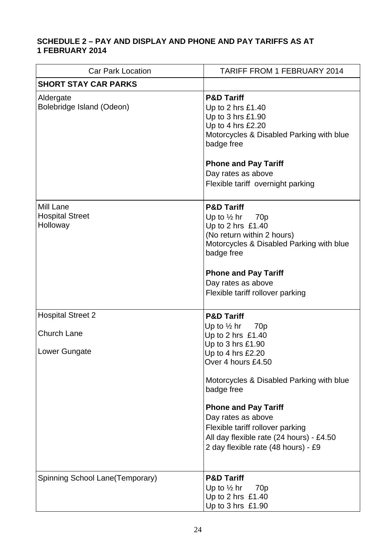## **SCHEDULE 2 – PAY AND DISPLAY AND PHONE AND PAY TARIFFS AS AT 1 FEBRUARY 2014**

| <b>Car Park Location</b>                                        | <b>TARIFF FROM 1 FEBRUARY 2014</b>                                                                                                                                                                                                                                                                                                                                             |
|-----------------------------------------------------------------|--------------------------------------------------------------------------------------------------------------------------------------------------------------------------------------------------------------------------------------------------------------------------------------------------------------------------------------------------------------------------------|
| <b>SHORT STAY CAR PARKS</b>                                     |                                                                                                                                                                                                                                                                                                                                                                                |
| Aldergate<br>Bolebridge Island (Odeon)                          | <b>P&amp;D Tariff</b><br>Up to 2 hrs £1.40<br>Up to 3 hrs £1.90<br>Up to 4 hrs £2.20<br>Motorcycles & Disabled Parking with blue<br>badge free<br><b>Phone and Pay Tariff</b><br>Day rates as above<br>Flexible tariff overnight parking                                                                                                                                       |
| Mill Lane<br><b>Hospital Street</b><br>Holloway                 | <b>P&amp;D Tariff</b><br>Up to $\frac{1}{2}$ hr 70p<br>Up to 2 hrs £1.40<br>(No return within 2 hours)<br>Motorcycles & Disabled Parking with blue<br>badge free<br><b>Phone and Pay Tariff</b><br>Day rates as above<br>Flexible tariff rollover parking                                                                                                                      |
| <b>Hospital Street 2</b><br><b>Church Lane</b><br>Lower Gungate | <b>P&amp;D Tariff</b><br>Up to $\frac{1}{2}$ hr 70p<br>Up to 2 hrs £1.40<br>Up to 3 hrs £1.90<br>Up to 4 hrs £2.20<br>Over 4 hours £4.50<br>Motorcycles & Disabled Parking with blue<br>badge free<br><b>Phone and Pay Tariff</b><br>Day rates as above<br>Flexible tariff rollover parking<br>All day flexible rate (24 hours) - £4.50<br>2 day flexible rate (48 hours) - £9 |
| Spinning School Lane(Temporary)                                 | <b>P&amp;D Tariff</b><br>Up to $\frac{1}{2}$ hr<br>70 <sub>p</sub><br>Up to 2 hrs £1.40<br>Up to 3 hrs £1.90                                                                                                                                                                                                                                                                   |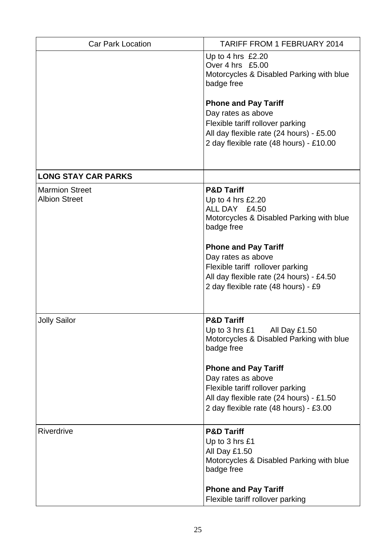| <b>Car Park Location</b>                      | <b>TARIFF FROM 1 FEBRUARY 2014</b>                                                                                                                                                                                                                                                                |
|-----------------------------------------------|---------------------------------------------------------------------------------------------------------------------------------------------------------------------------------------------------------------------------------------------------------------------------------------------------|
|                                               | Up to 4 hrs £2.20<br>Over 4 hrs £5.00<br>Motorcycles & Disabled Parking with blue<br>badge free                                                                                                                                                                                                   |
|                                               | <b>Phone and Pay Tariff</b><br>Day rates as above<br>Flexible tariff rollover parking<br>All day flexible rate (24 hours) - £5.00<br>2 day flexible rate (48 hours) - £10.00                                                                                                                      |
| <b>LONG STAY CAR PARKS</b>                    |                                                                                                                                                                                                                                                                                                   |
| <b>Marmion Street</b><br><b>Albion Street</b> | <b>P&amp;D Tariff</b><br>Up to 4 hrs £2.20<br>ALL DAY £4.50<br>Motorcycles & Disabled Parking with blue<br>badge free<br><b>Phone and Pay Tariff</b><br>Day rates as above<br>Flexible tariff rollover parking<br>All day flexible rate (24 hours) - £4.50<br>2 day flexible rate (48 hours) - £9 |
| <b>Jolly Sailor</b>                           | <b>P&amp;D Tariff</b><br>Up to 3 hrs £1<br>All Day £1.50<br>Motorcycles & Disabled Parking with blue<br>badge free<br><b>Phone and Pay Tariff</b><br>Day rates as above<br>Flexible tariff rollover parking<br>All day flexible rate (24 hours) - £1.50<br>2 day flexible rate (48 hours) - £3.00 |
| Riverdrive                                    | <b>P&amp;D Tariff</b><br>Up to 3 hrs £1<br>All Day £1.50<br>Motorcycles & Disabled Parking with blue<br>badge free<br><b>Phone and Pay Tariff</b><br>Flexible tariff rollover parking                                                                                                             |